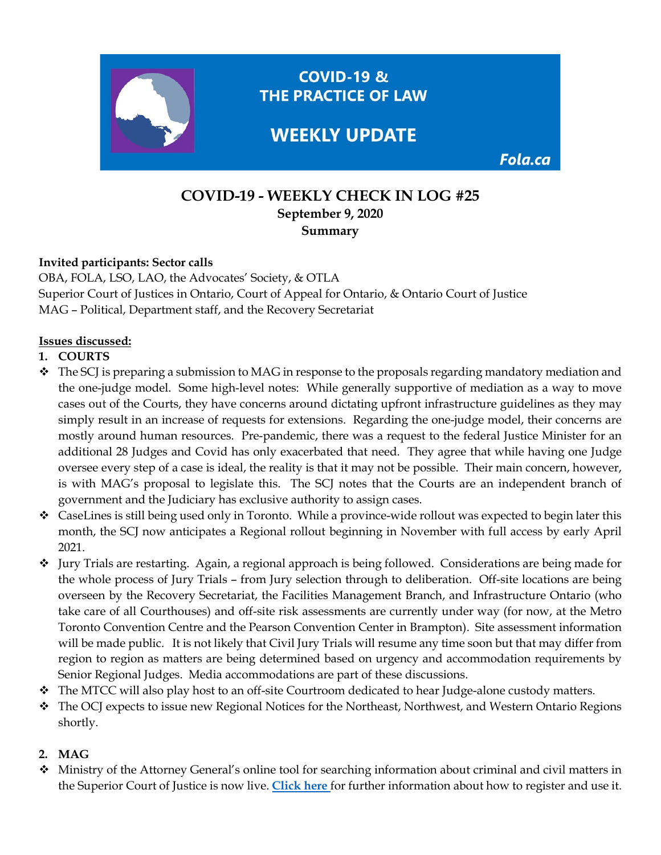

# **COVID-19 - WEEKLY CHECK IN LOG #25 September 9, 2020 Summary**

#### **Invited participants: Sector calls**

OBA, FOLA, LSO, LAO, the Advocates' Society, & OTLA Superior Court of Justices in Ontario, Court of Appeal for Ontario, & Ontario Court of Justice MAG – Political, Department staff, and the Recovery Secretariat

### **Issues discussed:**

### **1. COURTS**

- $\bullet$  The SCJ is preparing a submission to MAG in response to the proposals regarding mandatory mediation and the one-judge model. Some high-level notes: While generally supportive of mediation as a way to move cases out of the Courts, they have concerns around dictating upfront infrastructure guidelines as they may simply result in an increase of requests for extensions. Regarding the one-judge model, their concerns are mostly around human resources. Pre-pandemic, there was a request to the federal Justice Minister for an additional 28 Judges and Covid has only exacerbated that need. They agree that while having one Judge oversee every step of a case is ideal, the reality is that it may not be possible. Their main concern, however, is with MAG's proposal to legislate this. The SCJ notes that the Courts are an independent branch of government and the Judiciary has exclusive authority to assign cases.
- CaseLines is still being used only in Toronto. While a province-wide rollout was expected to begin later this month, the SCJ now anticipates a Regional rollout beginning in November with full access by early April 2021.
- Jury Trials are restarting. Again, a regional approach is being followed. Considerations are being made for the whole process of Jury Trials – from Jury selection through to deliberation. Off-site locations are being overseen by the Recovery Secretariat, the Facilities Management Branch, and Infrastructure Ontario (who take care of all Courthouses) and off-site risk assessments are currently under way (for now, at the Metro Toronto Convention Centre and the Pearson Convention Center in Brampton). Site assessment information will be made public. It is not likely that Civil Jury Trials will resume any time soon but that may differ from region to region as matters are being determined based on urgency and accommodation requirements by Senior Regional Judges. Media accommodations are part of these discussions.
- The MTCC will also play host to an off-site Courtroom dedicated to hear Judge-alone custody matters.
- The OCJ expects to issue new Regional Notices for the Northeast, Northwest, and Western Ontario Regions shortly.

## **2. MAG**

 Ministry of the Attorney General's online tool for searching information about criminal and civil matters in the Superior Court of Justice is now live. **[Click here](https://www.ontario.ca/page/search-court-cases-online)** for further information about how to register and use it.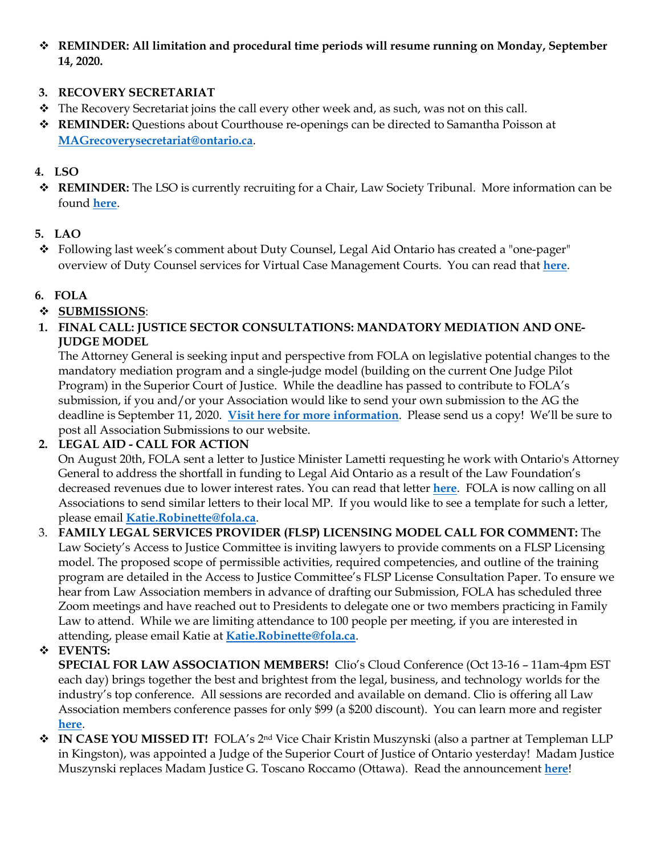**REMINDER: All limitation and procedural time periods will resume running on Monday, September 14, 2020.**

## **3. RECOVERY SECRETARIAT**

- \* The Recovery Secretariat joins the call every other week and, as such, was not on this call.
- **REMINDER:** Questions about Courthouse re-openings can be directed to Samantha Poisson at **[MAGrecoverysecretariat@ontario.ca](mailto:MAGrecoverysecretariat@ontario.ca)**.

## **4. LSO**

 **REMINDER:** The LSO is currently recruiting for a Chair, Law Society Tribunal. More information can be found **[here](https://fola.ca/jobs)**.

### **5. LAO**

 Following last week's comment about Duty Counsel, Legal Aid Ontario has created a "one-pager" overview of Duty Counsel services for Virtual Case Management Courts. You can read that **[here](https://img1.wsimg.com/blobby/go/63f6349d-d85d-4511-bc5f-4314d54b45d0/downloads/Case%20Management%20DC%20Services%20External%20Stakehold.pdf?ver=1599226421579)**.

### **6. FOLA**

## **SUBMISSIONS**:

**1. FINAL CALL: JUSTICE SECTOR CONSULTATIONS: MANDATORY MEDIATION AND ONE-JUDGE MODEL**

The Attorney General is seeking input and perspective from FOLA on legislative potential changes to the mandatory mediation program and a single-judge model (building on the current One Judge Pilot Program) in the Superior Court of Justice. While the deadline has passed to contribute to FOLA's submission, if you and/or your Association would like to send your own submission to the AG the deadline is September 11, 2020. **[Visit here for more information](https://fola.ca/mag#a847ec9f-1b97-43fc-b42e-ebcc09e21b31)**. Please send us a copy! We'll be sure to post all Association Submissions to our website.

### **2. LEGAL AID - CALL FOR ACTION**

On August 20th, FOLA sent a letter to Justice Minister Lametti requesting he work with Ontario's Attorney General to address the shortfall in funding to Legal Aid Ontario as a result of the Law Foundation's decreased revenues due to lower interest rates. You can read that letter **[here](https://fola.ca/legal-aid)**. FOLA is now calling on all Associations to send similar letters to their local MP. If you would like to see a template for such a letter, please email **[Katie.Robinette@fola.ca](mailto:Katie.Robinette@fola.ca)**.

3. **FAMILY LEGAL SERVICES PROVIDER (FLSP) LICENSING MODEL CALL FOR COMMENT:** The Law Society's Access to Justice Committee is inviting lawyers to provide comments on a FLSP Licensing model. The proposed scope of permissible activities, required competencies, and outline of the training program are detailed in the Access to Justice Committee's FLSP License Consultation Paper. To ensure we hear from Law Association members in advance of drafting our Submission, FOLA has scheduled three Zoom meetings and have reached out to Presidents to delegate one or two members practicing in Family Law to attend. While we are limiting attendance to 100 people per meeting, if you are interested in attending, please email Katie at **[Katie.Robinette@fola.ca](mailto:Katie.Robinette@fola.ca)**.

## **EVENTS:**

**SPECIAL FOR LAW ASSOCIATION MEMBERS!** Clio's Cloud Conference (Oct 13-16 – 11am-4pm EST each day) brings together the best and brightest from the legal, business, and technology worlds for the industry's top conference. All sessions are recorded and available on demand. Clio is offering all Law Association members conference passes for only \$99 (a \$200 discount). You can learn more and register **[here](https://www.eventbrite.com/e/clio-cloud-conference-2020-tickets-109472489162?discount=FOLA-BAR-MEMBER)**.

 **IN CASE YOU MISSED IT!** FOLA's 2nd Vice Chair Kristin Muszynski (also a partner at Templeman LLP in Kingston), was appointed a Judge of the Superior Court of Justice of Ontario yesterday! Madam Justice Muszynski replaces Madam Justice G. Toscano Roccamo (Ottawa). Read the announcement **[here](https://www.newswire.ca/news-releases/government-of-canada-announces-judicial-appointments-in-the-province-of-ontario-886141644.html)**!